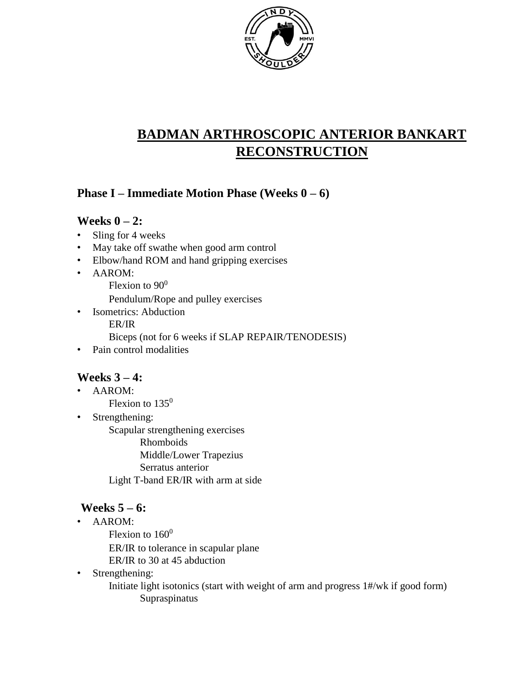

# **BADMAN ARTHROSCOPIC ANTERIOR BANKART RECONSTRUCTION**

### **Phase I – Immediate Motion Phase (Weeks 0 – 6)**

#### **Weeks 0 – 2:**

- Sling for 4 weeks
- May take off swathe when good arm control
- Elbow/hand ROM and hand gripping exercises
- AAROM:
	- Flexion to  $90^0$

Pendulum/Rope and pulley exercises

• Isometrics: Abduction

ER/IR

Biceps (not for 6 weeks if SLAP REPAIR/TENODESIS)

• Pain control modalities

### **Weeks 3 – 4:**

- AAROM: Flexion to  $135^0$
- Strengthening:

Scapular strengthening exercises

Rhomboids

Middle/Lower Trapezius

Serratus anterior

Light T-band ER/IR with arm at side

## **Weeks 5 – 6:**

- AAROM:
	- Flexion to  $160^0$

ER/IR to tolerance in scapular plane

- ER/IR to 30 at 45 abduction
- Strengthening:

Initiate light isotonics (start with weight of arm and progress 1#/wk if good form) Supraspinatus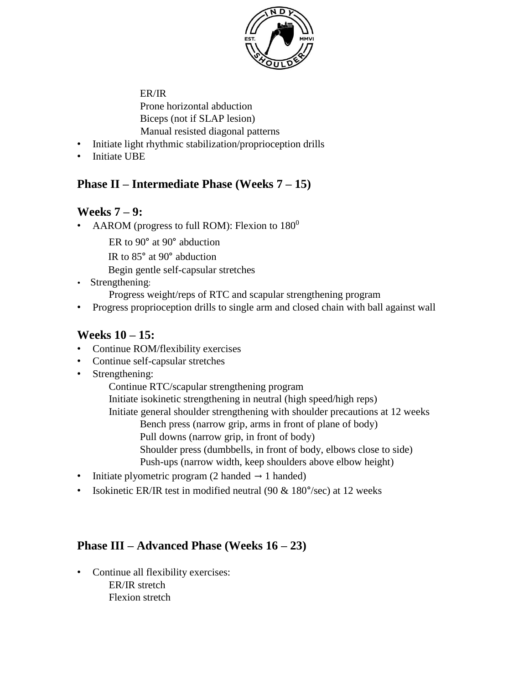

ER/IR Prone horizontal abduction Biceps (not if SLAP lesion) Manual resisted diagonal patterns

- Initiate light rhythmic stabilization/proprioception drills
- Initiate UBE

#### **Phase II – Intermediate Phase (Weeks 7 – 15)**

#### **Weeks 7 – 9:**

• AAROM (progress to full ROM): Flexion to  $180^\circ$ 

ER to 90° at 90° abduction

IR to 85° at 90° abduction

Begin gentle self-capsular stretches

- Strengthening: Progress weight/reps of RTC and scapular strengthening program
- Progress proprioception drills to single arm and closed chain with ball against wall

#### **Weeks 10 – 15:**

- Continue ROM/flexibility exercises
- Continue self-capsular stretches
- Strengthening:

Continue RTC/scapular strengthening program

Initiate isokinetic strengthening in neutral (high speed/high reps)

Initiate general shoulder strengthening with shoulder precautions at 12 weeks

Bench press (narrow grip, arms in front of plane of body)

Pull downs (narrow grip, in front of body)

Shoulder press (dumbbells, in front of body, elbows close to side) Push-ups (narrow width, keep shoulders above elbow height)

- Initiate plyometric program (2 handed  $\rightarrow$  1 handed)
- Isokinetic ER/IR test in modified neutral (90  $\&$  180 $\degree$ /sec) at 12 weeks

### **Phase III – Advanced Phase (Weeks 16 – 23)**

• Continue all flexibility exercises: ER/IR stretch Flexion stretch